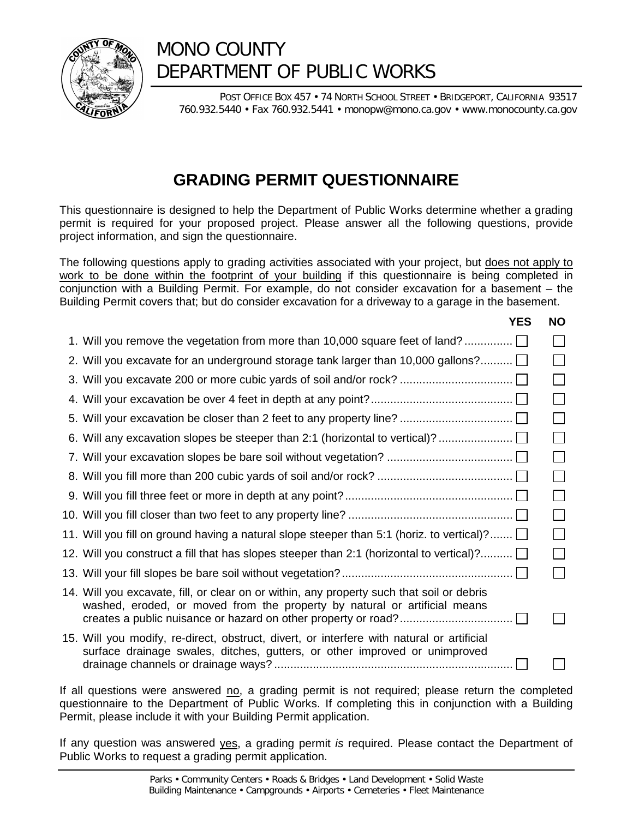

# MONO COUNTY DEPARTMENT OF PUBLIC WORKS

POST OFFICE BOX 457 · 74 NORTH SCHOOL STREET · BRIDGEPORT, CALIFORNIA 93517 760.932.5440 • Fax 760.932.5441 • monopw@mono.ca.gov • www.monocounty.ca.gov

## **GRADING PERMIT QUESTIONNAIRE**

This questionnaire is designed to help the Department of Public Works determine whether a grading permit is required for your proposed project. Please answer all the following questions, provide project information, and sign the questionnaire.

The following questions apply to grading activities associated with your project, but does not apply to work to be done within the footprint of your building if this questionnaire is being completed in conjunction with a Building Permit. For example, do not consider excavation for a basement – the Building Permit covers that; but do consider excavation for a driveway to a garage in the basement.

| <b>YES</b>                                                                                                                                                              | <b>NO</b> |
|-------------------------------------------------------------------------------------------------------------------------------------------------------------------------|-----------|
| 1. Will you remove the vegetation from more than 10,000 square feet of land?                                                                                            |           |
| 2. Will you excavate for an underground storage tank larger than 10,000 gallons?                                                                                        |           |
|                                                                                                                                                                         |           |
|                                                                                                                                                                         |           |
|                                                                                                                                                                         |           |
| 6. Will any excavation slopes be steeper than 2:1 (horizontal to vertical)?                                                                                             |           |
|                                                                                                                                                                         |           |
|                                                                                                                                                                         |           |
|                                                                                                                                                                         |           |
|                                                                                                                                                                         |           |
| 11. Will you fill on ground having a natural slope steeper than 5:1 (horiz. to vertical)? $\Box$                                                                        |           |
| 12. Will you construct a fill that has slopes steeper than 2:1 (horizontal to vertical)? [                                                                              |           |
|                                                                                                                                                                         |           |
| 14. Will you excavate, fill, or clear on or within, any property such that soil or debris<br>washed, eroded, or moved from the property by natural or artificial means  |           |
| 15. Will you modify, re-direct, obstruct, divert, or interfere with natural or artificial<br>surface drainage swales, ditches, gutters, or other improved or unimproved |           |
|                                                                                                                                                                         |           |

If all questions were answered no, a grading permit is not required; please return the completed questionnaire to the Department of Public Works. If completing this in conjunction with a Building Permit, please include it with your Building Permit application.

If any question was answered yes, a grading permit *is* required. Please contact the Department of Public Works to request a grading permit application.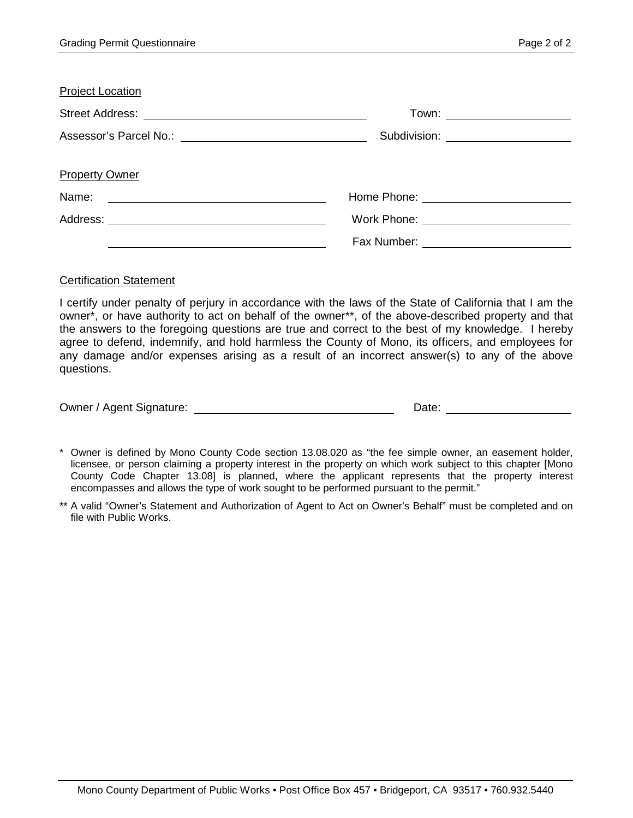| <b>Project Location</b>                                                                                                                                                                                                        |                                          |
|--------------------------------------------------------------------------------------------------------------------------------------------------------------------------------------------------------------------------------|------------------------------------------|
|                                                                                                                                                                                                                                | Town: _______________________            |
| Assessor's Parcel No.: \\com \\community \\community \\community \\community \\community \\community \\community \\community \\community \\community \\community \\community \\community \\community \\community \\community \ | Subdivision: <u>____________________</u> |
| <b>Property Owner</b>                                                                                                                                                                                                          |                                          |
| Name:<br><u> 1980 - Andrea Andrew Maria (h. 1980).</u>                                                                                                                                                                         |                                          |
|                                                                                                                                                                                                                                |                                          |
|                                                                                                                                                                                                                                |                                          |

#### Certification Statement

I certify under penalty of perjury in accordance with the laws of the State of California that I am the owner\*, or have authority to act on behalf of the owner\*\*, of the above-described property and that the answers to the foregoing questions are true and correct to the best of my knowledge. I hereby agree to defend, indemnify, and hold harmless the County of Mono, its officers, and employees for any damage and/or expenses arising as a result of an incorrect answer(s) to any of the above questions.

| Owner / Agent Signature: | Date: |
|--------------------------|-------|
|--------------------------|-------|

\* Owner is defined by Mono County Code section 13.08.020 as "the fee simple owner, an easement holder, licensee, or person claiming a property interest in the property on which work subject to this chapter [Mono County Code Chapter 13.08] is planned, where the applicant represents that the property interest encompasses and allows the type of work sought to be performed pursuant to the permit."

<sup>\*\*</sup> A valid "Owner's Statement and Authorization of Agent to Act on Owner's Behalf" must be completed and on file with Public Works.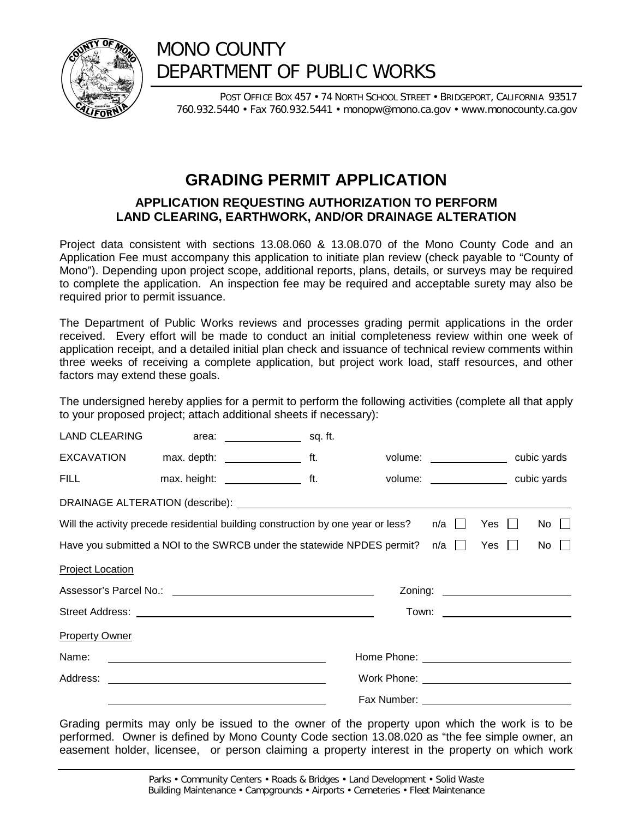

## MONO COUNTY DEPARTMENT OF PUBLIC WORKS

POST OFFICE BOX 457 · 74 NORTH SCHOOL STREET · BRIDGEPORT, CALIFORNIA 93517 760.932.5440 • Fax 760.932.5441 • monopw@mono.ca.gov • www.monocounty.ca.gov

### **GRADING PERMIT APPLICATION**

#### **APPLICATION REQUESTING AUTHORIZATION TO PERFORM LAND CLEARING, EARTHWORK, AND/OR DRAINAGE ALTERATION**

Project data consistent with sections 13.08.060 & 13.08.070 of the Mono County Code and an Application Fee must accompany this application to initiate plan review (check payable to "County of Mono"). Depending upon project scope, additional reports, plans, details, or surveys may be required to complete the application. An inspection fee may be required and acceptable surety may also be required prior to permit issuance.

The Department of Public Works reviews and processes grading permit applications in the order received. Every effort will be made to conduct an initial completeness review within one week of application receipt, and a detailed initial plan check and issuance of technical review comments within three weeks of receiving a complete application, but project work load, staff resources, and other factors may extend these goals.

The undersigned hereby applies for a permit to perform the following activities (complete all that apply to your proposed project; attach additional sheets if necessary):

| EXCAVATION max. depth: _____________________ ft.                                                       |  |  |  |                                       |  | volume: _________________ cubic yards |                                 |  |  |
|--------------------------------------------------------------------------------------------------------|--|--|--|---------------------------------------|--|---------------------------------------|---------------------------------|--|--|
| FILL max. height: _______________________ ft.                                                          |  |  |  | volume: _________________ cubic yards |  |                                       |                                 |  |  |
|                                                                                                        |  |  |  |                                       |  |                                       |                                 |  |  |
| Will the activity precede residential building construction by one year or less? $n/a \Box$ Yes $\Box$ |  |  |  |                                       |  |                                       | $No$ $\Box$                     |  |  |
| Have you submitted a NOI to the SWRCB under the statewide NPDES permit? $n/a \Box$ Yes                 |  |  |  |                                       |  |                                       | No $\Box$                       |  |  |
| <b>Project Location</b>                                                                                |  |  |  |                                       |  |                                       |                                 |  |  |
|                                                                                                        |  |  |  |                                       |  |                                       |                                 |  |  |
|                                                                                                        |  |  |  |                                       |  |                                       | Town: _________________________ |  |  |
| <b>Property Owner</b>                                                                                  |  |  |  |                                       |  |                                       |                                 |  |  |
|                                                                                                        |  |  |  |                                       |  |                                       |                                 |  |  |
|                                                                                                        |  |  |  |                                       |  |                                       |                                 |  |  |
|                                                                                                        |  |  |  |                                       |  |                                       |                                 |  |  |

Grading permits may only be issued to the owner of the property upon which the work is to be performed. Owner is defined by Mono County Code section 13.08.020 as "the fee simple owner, an easement holder, licensee, or person claiming a property interest in the property on which work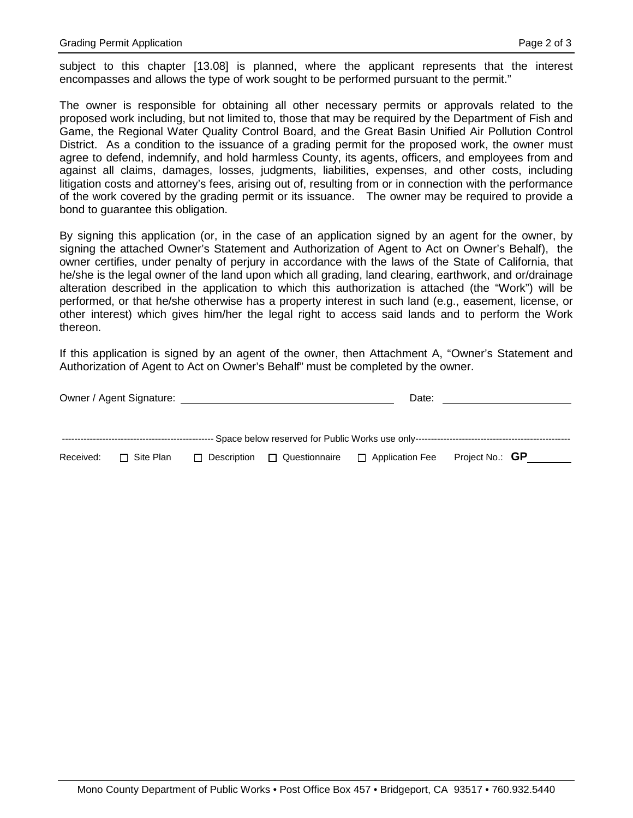subject to this chapter [13.08] is planned, where the applicant represents that the interest encompasses and allows the type of work sought to be performed pursuant to the permit."

The owner is responsible for obtaining all other necessary permits or approvals related to the proposed work including, but not limited to, those that may be required by the Department of Fish and Game, the Regional Water Quality Control Board, and the Great Basin Unified Air Pollution Control District. As a condition to the issuance of a grading permit for the proposed work, the owner must agree to defend, indemnify, and hold harmless County, its agents, officers, and employees from and against all claims, damages, losses, judgments, liabilities, expenses, and other costs, including litigation costs and attorney's fees, arising out of, resulting from or in connection with the performance of the work covered by the grading permit or its issuance. The owner may be required to provide a bond to guarantee this obligation.

By signing this application (or, in the case of an application signed by an agent for the owner, by signing the attached Owner's Statement and Authorization of Agent to Act on Owner's Behalf), the owner certifies, under penalty of perjury in accordance with the laws of the State of California, that he/she is the legal owner of the land upon which all grading, land clearing, earthwork, and or/drainage alteration described in the application to which this authorization is attached (the "Work") will be performed, or that he/she otherwise has a property interest in such land (e.g., easement, license, or other interest) which gives him/her the legal right to access said lands and to perform the Work thereon.

If this application is signed by an agent of the owner, then Attachment A, "Owner's Statement and Authorization of Agent to Act on Owner's Behalf" must be completed by the owner.

|           | Owner / Agent Signature: |                    |               | Date:                                                                            |                        |  |
|-----------|--------------------------|--------------------|---------------|----------------------------------------------------------------------------------|------------------------|--|
|           |                          |                    |               | - Space below reserved for Public Works use only-------------------------------- |                        |  |
| Received: | $\Box$ Site Plan         | $\Box$ Description | Questionnaire | $\Box$ Application Fee                                                           | Project No.: <b>GP</b> |  |